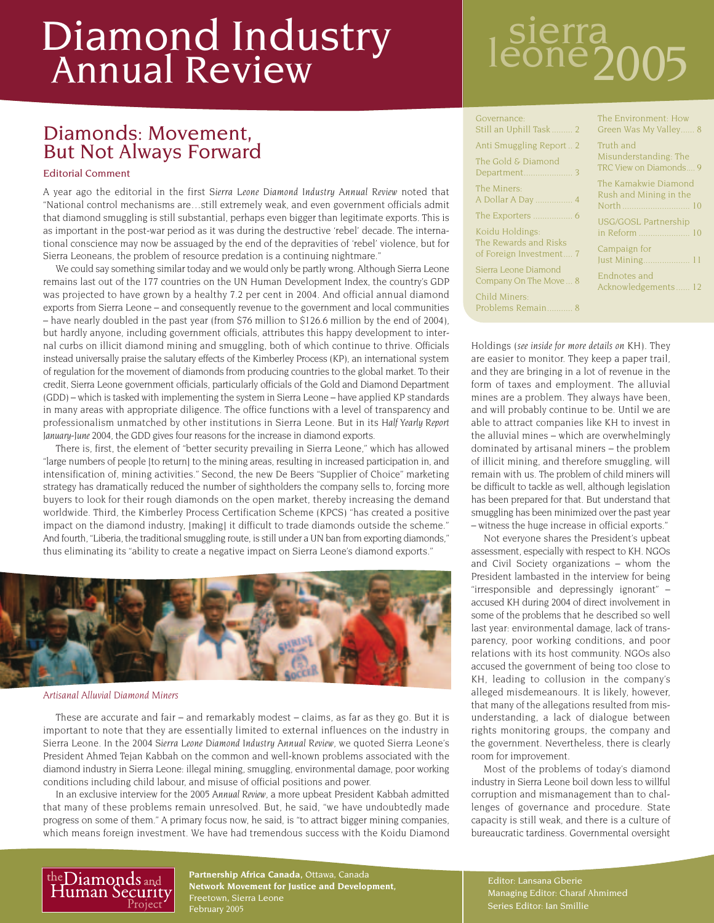## Diamond Industry Annual Review

### Diamonds: Movement, But Not Always Forward

#### Editorial Comment

A year ago the editorial in the first *Sierra Leone Diamond Industry Annual Review* noted that "National control mechanisms are…still extremely weak, and even government officials admit that diamond smuggling is still substantial, perhaps even bigger than legitimate exports. This is as important in the post-war period as it was during the destructive 'rebel' decade. The international conscience may now be assuaged by the end of the depravities of 'rebel' violence, but for Sierra Leoneans, the problem of resource predation is a continuing nightmare."

We could say something similar today and we would only be partly wrong. Although Sierra Leone remains last out of the 177 countries on the UN Human Development Index, the country's GDP was projected to have grown by a healthy 7.2 per cent in 2004. And official annual diamond exports from Sierra Leone – and consequently revenue to the government and local communities – have nearly doubled in the past year (from \$76 million to \$126.6 million by the end of 2004), but hardly anyone, including government officials, attributes this happy development to internal curbs on illicit diamond mining and smuggling, both of which continue to thrive. Officials instead universally praise the salutary effects of the Kimberley Process (KP), an international system of regulation for the movement of diamonds from producing countries to the global market. To their credit, Sierra Leone government officials, particularly officials of the Gold and Diamond Department (GDD) – which is tasked with implementing the system in Sierra Leone – have applied KP standards in many areas with appropriate diligence. The office functions with a level of transparency and professionalism unmatched by other institutions in Sierra Leone. But in its *Half Yearly Report January-June 2004*, the GDD gives four reasons for the increase in diamond exports.

There is, first, the element of "better security prevailing in Sierra Leone," which has allowed "large numbers of people [to return] to the mining areas, resulting in increased participation in, and intensification of, mining activities." Second, the new De Beers "Supplier of Choice" marketing strategy has dramatically reduced the number of sightholders the company sells to, forcing more buyers to look for their rough diamonds on the open market, thereby increasing the demand worldwide. Third, the Kimberley Process Certification Scheme (KPCS) "has created a positive impact on the diamond industry, [making] it difficult to trade diamonds outside the scheme." And fourth, "Liberia, the traditional smuggling route, is still under a UN ban from exporting diamonds," thus eliminating its "ability to create a negative impact on Sierra Leone's diamond exports."



#### *Artisanal Alluvial Diamond Miners*

These are accurate and fair – and remarkably modest – claims, as far as they go. But it is important to note that they are essentially limited to external influences on the industry in Sierra Leone. In the 2004 *Sierra Leone Diamond Industry Annual Review*, we quoted Sierra Leone's President Ahmed Tejan Kabbah on the common and well-known problems associated with the diamond industry in Sierra Leone: illegal mining, smuggling, environmental damage, poor working conditions including child labour, and misuse of official positions and power.

In an exclusive interview for the 2005 *Annual Review*, a more upbeat President Kabbah admitted that many of these problems remain unresolved. But, he said, "we have undoubtedly made progress on some of them." A primary focus now, he said, is "to attract bigger mining companies, which means foreign investment. We have had tremendous success with the Koidu Diamond

# sierra<br>eone2005

| Governance:                              | The En                      |
|------------------------------------------|-----------------------------|
| Still an Uphill Task  2                  | Green \                     |
| Anti Smuggling Report2                   | Truth a                     |
| The Gold & Diamond                       | Misund                      |
|                                          | <b>TRC Vie</b>              |
| The Miners:<br>A Dollar A Day  4         | The Kai<br>Rush ar<br>North |
| Koidu Holdings:<br>The Rewards and Risks | USG/G<br>in Refo            |
| of Foreign Investment 7                  | Campa                       |
| Sierra Leone Diamond                     | Just Mi                     |
| Company On The Move  8                   | Endnot                      |
| Child Miners:<br>Problems Remain 8       | Acknow                      |

Vas My Valley...... 8  $nd<sub>1</sub>$ lerstanding: The w on Diamonds.... 9 nakwie Diamond nd Mining in the North ............................. 10 OSL Partnership in Reform ...................... 10 ign for Just Mining.................... 11 es and

The Environment: How

ledgements...... 12

Holdings (*see inside for more details on KH*). They are easier to monitor. They keep a paper trail, and they are bringing in a lot of revenue in the form of taxes and employment. The alluvial mines are a problem. They always have been, and will probably continue to be. Until we are able to attract companies like KH to invest in the alluvial mines – which are overwhelmingly dominated by artisanal miners – the problem of illicit mining, and therefore smuggling, will remain with us. The problem of child miners will be difficult to tackle as well, although legislation has been prepared for that. But understand that smuggling has been minimized over the past year – witness the huge increase in official exports."

Not everyone shares the President's upbeat assessment, especially with respect to KH. NGOs and Civil Society organizations – whom the President lambasted in the interview for being "irresponsible and depressingly ignorant" – accused KH during 2004 of direct involvement in some of the problems that he described so well last year: environmental damage, lack of transparency, poor working conditions, and poor relations with its host community. NGOs also accused the government of being too close to KH, leading to collusion in the company's alleged misdemeanours. It is likely, however, that many of the allegations resulted from misunderstanding, a lack of dialogue between rights monitoring groups, the company and the government. Nevertheless, there is clearly room for improvement.

Most of the problems of today's diamond industry in Sierra Leone boil down less to willful corruption and mismanagement than to challenges of governance and procedure. State capacity is still weak, and there is a culture of bureaucratic tardiness. Governmental oversight



**Partnership Africa Canada,** Ottawa, Canada **Network Movement for Justice and Development,** Freetown, Sierra Leone

Editor: Lansana Gberie Managing Editor: Charaf Ahmimed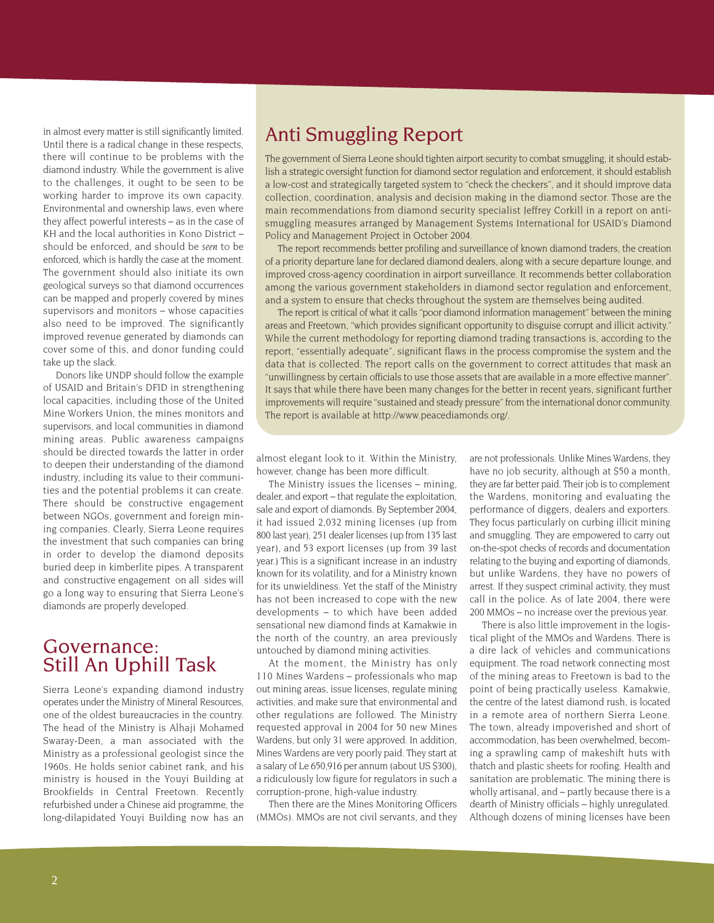in almost every matter is still significantly limited. Until there is a radical change in these respects, there will continue to be problems with the diamond industry. While the government is alive to the challenges, it ought to be seen to be working harder to improve its own capacity. Environmental and ownership laws, even where they affect powerful interests – as in the case of KH and the local authorities in Kono District – should be enforced, and should be *seen* to be enforced, which is hardly the case at the moment. The government should also initiate its own geological surveys so that diamond occurrences can be mapped and properly covered by mines supervisors and monitors – whose capacities also need to be improved. The significantly improved revenue generated by diamonds can cover some of this, and donor funding could take up the slack.

Donors like UNDP should follow the example of USAID and Britain's DFID in strengthening local capacities, including those of the United Mine Workers Union, the mines monitors and supervisors, and local communities in diamond mining areas. Public awareness campaigns should be directed towards the latter in order to deepen their understanding of the diamond industry, including its value to their communities and the potential problems it can create. There should be constructive engagement between NGOs, government and foreign mining companies. Clearly, Sierra Leone requires the investment that such companies can bring in order to develop the diamond deposits buried deep in kimberlite pipes. A transparent and constructive engagement on all sides will go a long way to ensuring that Sierra Leone's diamonds are properly developed.

### Governance: Still An Uphill Task

Sierra Leone's expanding diamond industry operates under the Ministry of Mineral Resources, one of the oldest bureaucracies in the country. The head of the Ministry is Alhaji Mohamed Swaray-Deen, a man associated with the Ministry as a professional geologist since the 1960s. He holds senior cabinet rank, and his ministry is housed in the Youyi Building at Brookfields in Central Freetown. Recently refurbished under a Chinese aid programme, the long-dilapidated Youyi Building now has an

### Anti Smuggling Report

The government of Sierra Leone should tighten airport security to combat smuggling, it should establish a strategic oversight function for diamond sector regulation and enforcement, it should establish a low-cost and strategically targeted system to "check the checkers", and it should improve data collection, coordination, analysis and decision making in the diamond sector. Those are the main recommendations from diamond security specialist Jeffrey Corkill in a report on antismuggling measures arranged by Management Systems International for USAID's Diamond Policy and Management Project in October 2004.

The report recommends better profiling and surveillance of known diamond traders, the creation of a priority departure lane for declared diamond dealers, along with a secure departure lounge, and improved cross-agency coordination in airport surveillance. It recommends better collaboration among the various government stakeholders in diamond sector regulation and enforcement, and a system to ensure that checks throughout the system are themselves being audited.

The report is critical of what it calls "poor diamond information management" between the mining areas and Freetown, "which provides significant opportunity to disguise corrupt and illicit activity." While the current methodology for reporting diamond trading transactions is, according to the report, "essentially adequate", significant flaws in the process compromise the system and the data that is collected. The report calls on the government to correct attitudes that mask an "unwillingness by certain officials to use those assets that are available in a more effective manner". It says that while there have been many changes for the better in recent years, significant further improvements will require "sustained and steady pressure" from the international donor community. The report is available at http://www.peacediamonds.org/.

almost elegant look to it. Within the Ministry, however, change has been more difficult.

The Ministry issues the licenses – mining, dealer, and export – that regulate the exploitation, sale and export of diamonds. By September 2004, it had issued 2,032 mining licenses (up from 800 last year), 251 dealer licenses (up from 135 last year), and 53 export licenses (up from 39 last year.) This is a significant increase in an industry known for its volatility, and for a Ministry known for its unwieldiness. Yet the staff of the Ministry has not been increased to cope with the new developments – to which have been added sensational new diamond finds at Kamakwie in the north of the country, an area previously untouched by diamond mining activities.

At the moment, the Ministry has only 110 Mines Wardens – professionals who map out mining areas, issue licenses, regulate mining activities, and make sure that environmental and other regulations are followed. The Ministry requested approval in 2004 for 50 new Mines Wardens, but only 31 were approved. In addition, Mines Wardens are very poorly paid. They start at a salary of Le 650,916 per annum (about US \$300), a ridiculously low figure for regulators in such a corruption-prone, high-value industry.

Then there are the Mines Monitoring Officers (MMOs). MMOs are not civil servants, and they are not professionals. Unlike Mines Wardens, they have no job security, although at \$50 a month. they are far better paid. Their job is to complement the Wardens, monitoring and evaluating the performance of diggers, dealers and exporters. They focus particularly on curbing illicit mining and smuggling. They are empowered to carry out on-the-spot checks of records and documentation relating to the buying and exporting of diamonds, but unlike Wardens, they have no powers of arrest. If they suspect criminal activity, they must call in the police. As of late 2004, there were 200 MMOs – no increase over the previous year.

There is also little improvement in the logistical plight of the MMOs and Wardens. There is a dire lack of vehicles and communications equipment. The road network connecting most of the mining areas to Freetown is bad to the point of being practically useless. Kamakwie, the centre of the latest diamond rush, is located in a remote area of northern Sierra Leone. The town, already impoverished and short of accommodation, has been overwhelmed, becoming a sprawling camp of makeshift huts with thatch and plastic sheets for roofing. Health and sanitation are problematic. The mining there is wholly artisanal, and – partly because there is a dearth of Ministry officials – highly unregulated. Although dozens of mining licenses have been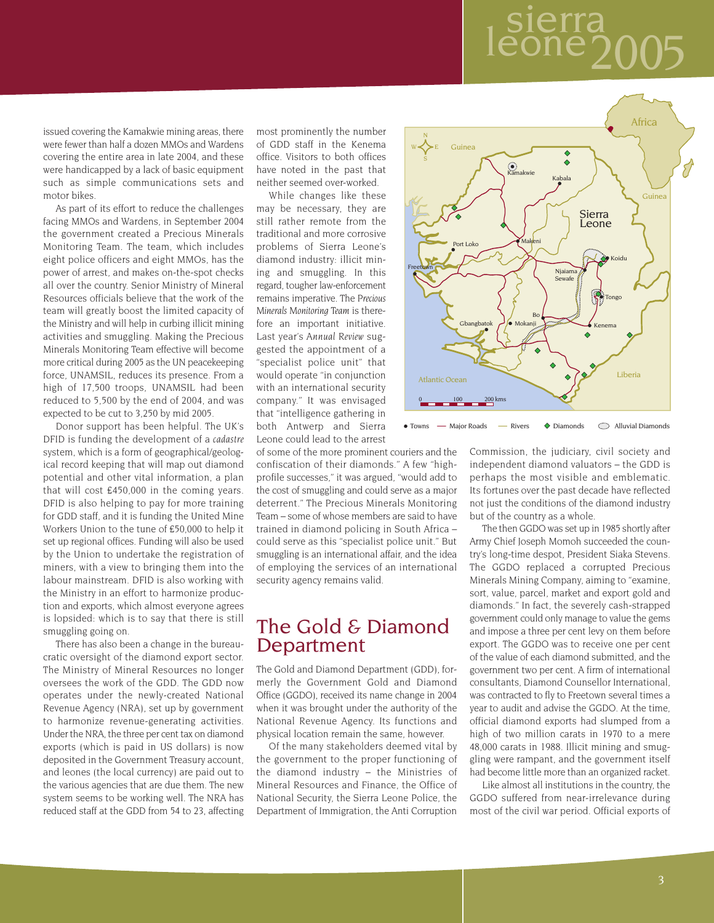## sierra<br>leone? 2005

issued covering the Kamakwie mining areas, there were fewer than half a dozen MMOs and Wardens covering the entire area in late 2004, and these were handicapped by a lack of basic equipment such as simple communications sets and motor bikes.

As part of its effort to reduce the challenges facing MMOs and Wardens, in September 2004 the government created a Precious Minerals Monitoring Team. The team, which includes eight police officers and eight MMOs, has the power of arrest, and makes on-the-spot checks all over the country. Senior Ministry of Mineral Resources officials believe that the work of the team will greatly boost the limited capacity of the Ministry and will help in curbing illicit mining activities and smuggling. Making the Precious Minerals Monitoring Team effective will become more critical during 2005 as the UN peacekeeping force, UNAMSIL, reduces its presence. From a high of 17,500 troops, UNAMSIL had been reduced to 5,500 by the end of 2004, and was expected to be cut to 3,250 by mid 2005.

Donor support has been helpful. The UK's DFID is funding the development of a *cadastre* system, which is a form of geographical/geological record keeping that will map out diamond potential and other vital information, a plan that will cost £450,000 in the coming years. DFID is also helping to pay for more training for GDD staff, and it is funding the United Mine Workers Union to the tune of £50,000 to help it set up regional offices. Funding will also be used by the Union to undertake the registration of miners, with a view to bringing them into the labour mainstream. DFID is also working with the Ministry in an effort to harmonize production and exports, which almost everyone agrees is lopsided: which is to say that there is still smuggling going on.

There has also been a change in the bureaucratic oversight of the diamond export sector. The Ministry of Mineral Resources no longer oversees the work of the GDD. The GDD now operates under the newly-created National Revenue Agency (NRA), set up by government to harmonize revenue-generating activities. Under the NRA, the three per cent tax on diamond exports (which is paid in US dollars) is now deposited in the Government Treasury account, and leones (the local currency) are paid out to the various agencies that are due them. The new system seems to be working well. The NRA has reduced staff at the GDD from 54 to 23, affecting most prominently the number of GDD staff in the Kenema office. Visitors to both offices have noted in the past that neither seemed over-worked.

While changes like these may be necessary, they are still rather remote from the traditional and more corrosive problems of Sierra Leone's diamond industry: illicit mining and smuggling. In this regard, tougher law-enforcement remains imperative. The *Precious Minerals Monitoring Team* is therefore an important initiative. Last year's *Annual Review* suggested the appointment of a "specialist police unit" that would operate "in conjunction with an international security company." It was envisaged that "intelligence gathering in both Antwerp and Sierra Leone could lead to the arrest

of some of the more prominent couriers and the confiscation of their diamonds." A few "highprofile successes," it was argued, "would add to the cost of smuggling and could serve as a major deterrent." The Precious Minerals Monitoring Team – some of whose members are said to have trained in diamond policing in South Africa – could serve as this "specialist police unit." But smuggling is an international affair, and the idea of employing the services of an international security agency remains valid.

### The Gold & Diamond Department

The Gold and Diamond Department (GDD), formerly the Government Gold and Diamond Office (GGDO), received its name change in 2004 when it was brought under the authority of the National Revenue Agency. Its functions and physical location remain the same, however.

Of the many stakeholders deemed vital by the government to the proper functioning of the diamond industry – the Ministries of Mineral Resources and Finance, the Office of National Security, the Sierra Leone Police, the Department of Immigration, the Anti Corruption



• Towns — Major Roads — Rivers • Diamonds • Alluvial Diamonds

Commission, the judiciary, civil society and independent diamond valuators – the GDD is perhaps the most visible and emblematic. Its fortunes over the past decade have reflected not just the conditions of the diamond industry but of the country as a whole.

The then GGDO was set up in 1985 shortly after Army Chief Joseph Momoh succeeded the country's long-time despot, President Siaka Stevens. The GGDO replaced a corrupted Precious Minerals Mining Company, aiming to "examine, sort, value, parcel, market and export gold and diamonds." In fact, the severely cash-strapped government could only manage to value the gems and impose a three per cent levy on them before export. The GGDO was to receive one per cent of the value of each diamond submitted, and the government two per cent. A firm of international consultants, Diamond Counsellor International, was contracted to fly to Freetown several times a year to audit and advise the GGDO. At the time, official diamond exports had slumped from a high of two million carats in 1970 to a mere 48,000 carats in 1988. Illicit mining and smuggling were rampant, and the government itself had become little more than an organized racket.

Like almost all institutions in the country, the GGDO suffered from near-irrelevance during most of the civil war period. Official exports of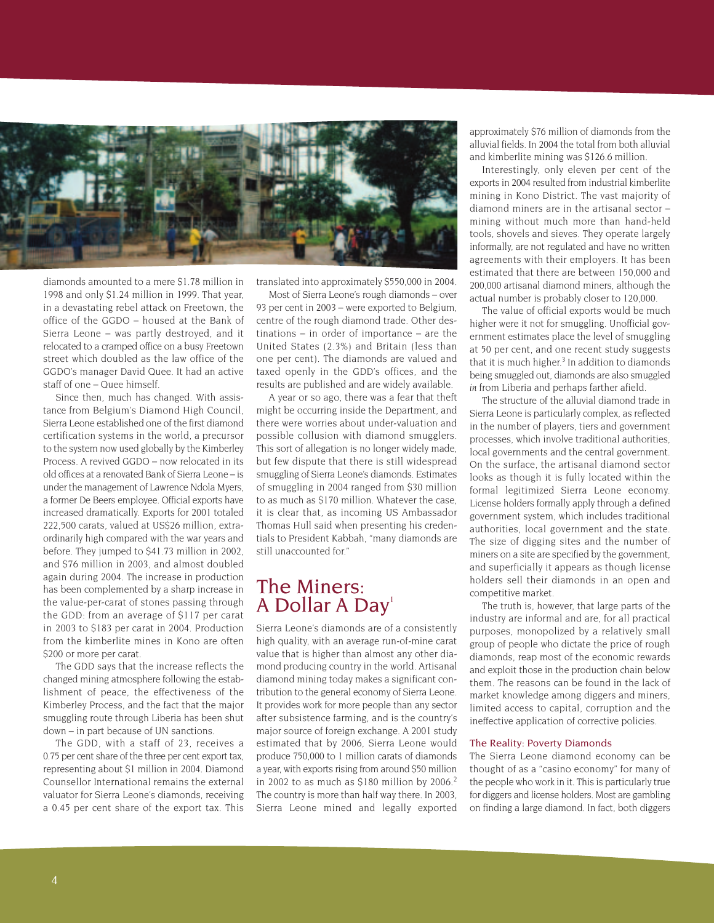

diamonds amounted to a mere \$1.78 million in 1998 and only \$1.24 million in 1999. That year, in a devastating rebel attack on Freetown, the office of the GGDO – housed at the Bank of Sierra Leone – was partly destroyed, and it relocated to a cramped office on a busy Freetown street which doubled as the law office of the GGDO's manager David Quee. It had an active staff of one – Quee himself.

Since then, much has changed. With assistance from Belgium's Diamond High Council, Sierra Leone established one of the first diamond certification systems in the world, a precursor to the system now used globally by the Kimberley Process. A revived GGDO – now relocated in its old offices at a renovated Bank of Sierra Leone – is under the management of Lawrence Ndola Myers, a former De Beers employee. Official exports have increased dramatically. Exports for 2001 totaled 222,500 carats, valued at US\$26 million, extraordinarily high compared with the war years and before. They jumped to \$41.73 million in 2002, and \$76 million in 2003, and almost doubled again during 2004. The increase in production has been complemented by a sharp increase in the value-per-carat of stones passing through the GDD: from an average of \$117 per carat in 2003 to \$183 per carat in 2004. Production from the kimberlite mines in Kono are often \$200 or more per carat.

The GDD says that the increase reflects the changed mining atmosphere following the establishment of peace, the effectiveness of the Kimberley Process, and the fact that the major smuggling route through Liberia has been shut down – in part because of UN sanctions.

The GDD, with a staff of 23, receives a 0.75 per cent share of the three per cent export tax, representing about \$1 million in 2004. Diamond Counsellor International remains the external valuator for Sierra Leone's diamonds, receiving a 0.45 per cent share of the export tax. This translated into approximately \$550,000 in 2004.

Most of Sierra Leone's rough diamonds – over 93 per cent in 2003 – were exported to Belgium, centre of the rough diamond trade. Other destinations – in order of importance – are the United States (2.3%) and Britain (less than one per cent). The diamonds are valued and taxed openly in the GDD's offices, and the results are published and are widely available.

A year or so ago, there was a fear that theft might be occurring inside the Department, and there were worries about under-valuation and possible collusion with diamond smugglers. This sort of allegation is no longer widely made, but few dispute that there is still widespread smuggling of Sierra Leone's diamonds. Estimates of smuggling in 2004 ranged from \$30 million to as much as \$170 million. Whatever the case, it is clear that, as incoming US Ambassador Thomas Hull said when presenting his credentials to President Kabbah, "many diamonds are still unaccounted for."

### The Miners: A Dollar A Day<sup>1</sup>

Sierra Leone's diamonds are of a consistently high quality, with an average run-of-mine carat value that is higher than almost any other diamond producing country in the world. Artisanal diamond mining today makes a significant contribution to the general economy of Sierra Leone. It provides work for more people than any sector after subsistence farming, and is the country's major source of foreign exchange. A 2001 study estimated that by 2006, Sierra Leone would produce 750,000 to 1 million carats of diamonds a year, with exports rising from around \$50 million in 2002 to as much as \$180 million by 2006.<sup>2</sup> The country is more than half way there. In 2003, Sierra Leone mined and legally exported

approximately \$76 million of diamonds from the alluvial fields. In 2004 the total from both alluvial and kimberlite mining was \$126.6 million.

Interestingly, only eleven per cent of the exports in 2004 resulted from industrial kimberlite mining in Kono District. The vast majority of diamond miners are in the artisanal sector – mining without much more than hand-held tools, shovels and sieves. They operate largely informally, are not regulated and have no written agreements with their employers. It has been estimated that there are between 150,000 and 200,000 artisanal diamond miners, although the actual number is probably closer to 120,000.

The value of official exports would be much higher were it not for smuggling. Unofficial government estimates place the level of smuggling at 50 per cent, and one recent study suggests that it is much higher. $3$  In addition to diamonds being smuggled out, diamonds are also smuggled *in* from Liberia and perhaps farther afield.

The structure of the alluvial diamond trade in Sierra Leone is particularly complex, as reflected in the number of players, tiers and government processes, which involve traditional authorities, local governments and the central government. On the surface, the artisanal diamond sector looks as though it is fully located within the formal legitimized Sierra Leone economy. License holders formally apply through a defined government system, which includes traditional authorities, local government and the state. The size of digging sites and the number of miners on a site are specified by the government, and superficially it appears as though license holders sell their diamonds in an open and competitive market.

The truth is, however, that large parts of the industry are informal and are, for all practical purposes, monopolized by a relatively small group of people who dictate the price of rough diamonds, reap most of the economic rewards and exploit those in the production chain below them. The reasons can be found in the lack of market knowledge among diggers and miners, limited access to capital, corruption and the ineffective application of corrective policies.

#### The Reality: Poverty Diamonds

The Sierra Leone diamond economy can be thought of as a "casino economy" for many of the people who work in it. This is particularly true for diggers and license holders. Most are gambling on finding a large diamond. In fact, both diggers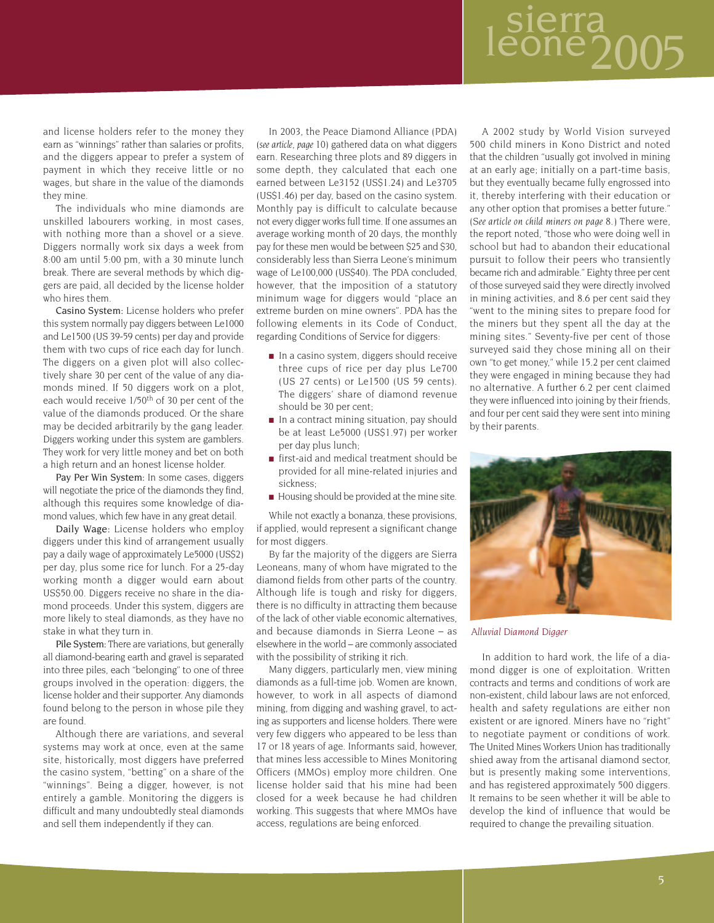# sierra<br>eone200

and license holders refer to the money they earn as "winnings" rather than salaries or profits, and the diggers appear to prefer a system of payment in which they receive little or no wages, but share in the value of the diamonds they mine.

The individuals who mine diamonds are unskilled labourers working, in most cases, with nothing more than a shovel or a sieve. Diggers normally work six days a week from 8:00 am until 5:00 pm, with a 30 minute lunch break. There are several methods by which diggers are paid, all decided by the license holder who hires them.

Casino System: License holders who prefer this system normally pay diggers between Le1000 and Le1500 (US 39-59 cents) per day and provide them with two cups of rice each day for lunch. The diggers on a given plot will also collectively share 30 per cent of the value of any diamonds mined. If 50 diggers work on a plot, each would receive 1/50<sup>th</sup> of 30 per cent of the value of the diamonds produced. Or the share may be decided arbitrarily by the gang leader. Diggers working under this system are gamblers. They work for very little money and bet on both a high return and an honest license holder.

Pay Per Win System: In some cases, diggers will negotiate the price of the diamonds they find, although this requires some knowledge of diamond values, which few have in any great detail.

Daily Wage: License holders who employ diggers under this kind of arrangement usually pay a daily wage of approximately Le5000 (US\$2) per day, plus some rice for lunch. For a 25-day working month a digger would earn about US\$50.00. Diggers receive no share in the diamond proceeds. Under this system, diggers are more likely to steal diamonds, as they have no stake in what they turn in.

Pile System: There are variations, but generally all diamond-bearing earth and gravel is separated into three piles, each "belonging" to one of three groups involved in the operation: diggers, the license holder and their supporter. Any diamonds found belong to the person in whose pile they are found.

Although there are variations, and several systems may work at once, even at the same site, historically, most diggers have preferred the casino system, "betting" on a share of the "winnings". Being a digger, however, is not entirely a gamble. Monitoring the diggers is difficult and many undoubtedly steal diamonds and sell them independently if they can.

In 2003, the Peace Diamond Alliance (PDA) (*see article, page 10*) gathered data on what diggers earn. Researching three plots and 89 diggers in some depth, they calculated that each one earned between Le3152 (US\$1.24) and Le3705 (US\$1.46) per day, based on the casino system. Monthly pay is difficult to calculate because not every digger works full time. If one assumes an average working month of 20 days, the monthly pay for these men would be between \$25 and \$30, considerably less than Sierra Leone's minimum wage of Le100,000 (US\$40). The PDA concluded, however, that the imposition of a statutory minimum wage for diggers would "place an extreme burden on mine owners". PDA has the following elements in its Code of Conduct, regarding Conditions of Service for diggers:

- In a casino system, diggers should receive three cups of rice per day plus Le700 (US 27 cents) or Le1500 (US 59 cents). The diggers' share of diamond revenue should be 30 per cent;
- In a contract mining situation, pay should be at least Le5000 (US\$1.97) per worker per day plus lunch;
- first-aid and medical treatment should be provided for all mine-related injuries and sickness;
- Housing should be provided at the mine site.

While not exactly a bonanza, these provisions, if applied, would represent a significant change for most diggers.

By far the majority of the diggers are Sierra Leoneans, many of whom have migrated to the diamond fields from other parts of the country. Although life is tough and risky for diggers, there is no difficulty in attracting them because of the lack of other viable economic alternatives, and because diamonds in Sierra Leone – as elsewhere in the world – are commonly associated with the possibility of striking it rich.

Many diggers, particularly men, view mining diamonds as a full-time job. Women are known, however, to work in all aspects of diamond mining, from digging and washing gravel, to acting as supporters and license holders. There were very few diggers who appeared to be less than 17 or 18 years of age. Informants said, however, that mines less accessible to Mines Monitoring Officers (MMOs) employ more children. One license holder said that his mine had been closed for a week because he had children working. This suggests that where MMOs have access, regulations are being enforced.

A 2002 study by World Vision surveyed 500 child miners in Kono District and noted that the children "usually got involved in mining at an early age; initially on a part-time basis, but they eventually became fully engrossed into it, thereby interfering with their education or any other option that promises a better future." (*See article on child miners on page 8.*) There were, the report noted, "those who were doing well in school but had to abandon their educational pursuit to follow their peers who transiently became rich and admirable." Eighty three per cent of those surveyed said they were directly involved in mining activities, and 8.6 per cent said they "went to the mining sites to prepare food for the miners but they spent all the day at the mining sites." Seventy-five per cent of those surveyed said they chose mining all on their own "to get money," while 15.2 per cent claimed they were engaged in mining because they had no alternative. A further 6.2 per cent claimed they were influenced into joining by their friends, and four per cent said they were sent into mining by their parents.



*Alluvial Diamond Digger*

In addition to hard work, the life of a diamond digger is one of exploitation. Written contracts and terms and conditions of work are non-existent, child labour laws are not enforced, health and safety regulations are either non existent or are ignored. Miners have no "right" to negotiate payment or conditions of work. The United Mines Workers Union has traditionally shied away from the artisanal diamond sector, but is presently making some interventions, and has registered approximately 500 diggers. It remains to be seen whether it will be able to develop the kind of influence that would be required to change the prevailing situation.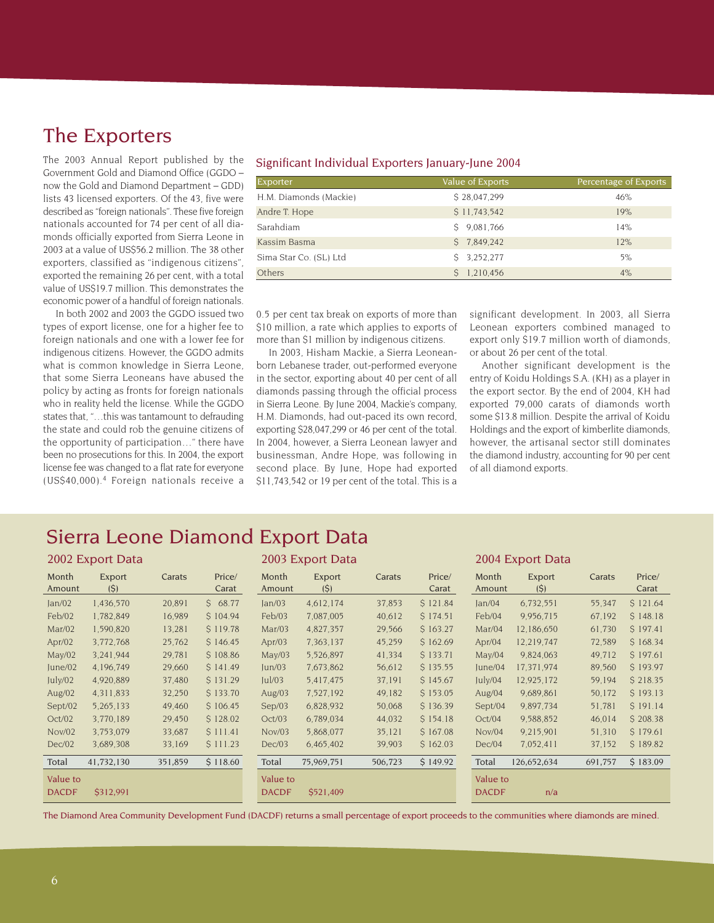### The Exporters

The 2003 Annual Report published by the Government Gold and Diamond Office (GGDO – now the Gold and Diamond Department – GDD) lists 43 licensed exporters. Of the 43, five were described as "foreign nationals". These five foreign nationals accounted for 74 per cent of all diamonds officially exported from Sierra Leone in 2003 at a value of US\$56.2 million. The 38 other exporters, classified as "indigenous citizens", exported the remaining 26 per cent, with a total value of US\$19.7 million. This demonstrates the economic power of a handful of foreign nationals.

In both 2002 and 2003 the GGDO issued two types of export license, one for a higher fee to foreign nationals and one with a lower fee for indigenous citizens. However, the GGDO admits what is common knowledge in Sierra Leone, that some Sierra Leoneans have abused the policy by acting as fronts for foreign nationals who in reality held the license. While the GGDO states that, "…this was tantamount to defrauding the state and could rob the genuine citizens of the opportunity of participation…" there have been no prosecutions for this. In 2004, the export license fee was changed to a flat rate for everyone (US\$40,000).<sup>4</sup> Foreign nationals receive a

#### Significant Individual Exporters January-June 2004

| Exporter               | Value of Exports | Percentage of Exports |
|------------------------|------------------|-----------------------|
| H.M. Diamonds (Mackie) | \$28,047,299     | 46%                   |
| Andre T. Hope          | \$11,743,542     | 19%                   |
| Sarahdiam              | 9,081,766        | 14%                   |
| Kassim Basma           | \$7,849,242      | 12%                   |
| Sima Star Co. (SL) Ltd | 3.252.277        | 5%                    |
| Others                 | 1.210.456        | 4%                    |

0.5 per cent tax break on exports of more than \$10 million, a rate which applies to exports of more than \$1 million by indigenous citizens.

In 2003, Hisham Mackie, a Sierra Leoneanborn Lebanese trader, out-performed everyone in the sector, exporting about 40 per cent of all diamonds passing through the official process in Sierra Leone. By June 2004, Mackie's company, H.M. Diamonds, had out-paced its own record, exporting \$28,047,299 or 46 per cent of the total. In 2004, however, a Sierra Leonean lawyer and businessman, Andre Hope, was following in second place. By June, Hope had exported \$11,743,542 or 19 per cent of the total. This is a significant development. In 2003, all Sierra Leonean exporters combined managed to export only \$19.7 million worth of diamonds, or about 26 per cent of the total.

Another significant development is the entry of Koidu Holdings S.A. (KH) as a player in the export sector. By the end of 2004, KH had exported 79,000 carats of diamonds worth some \$13.8 million. Despite the arrival of Koidu Holdings and the export of kimberlite diamonds, however, the artisanal sector still dominates the diamond industry, accounting for 90 per cent of all diamond exports.

### Sierra Leone Diamond Export Data

| 2002 Export Data         |               |         | 2003 Export Data |                          |               | 2004 Export Data |                 |                          |               |         |                 |
|--------------------------|---------------|---------|------------------|--------------------------|---------------|------------------|-----------------|--------------------------|---------------|---------|-----------------|
| Month<br>Amount          | Export<br>(5) | Carats  | Price/<br>Carat  | Month<br>Amount          | Export<br>(S) | Carats           | Price/<br>Carat | Month<br>Amount          | Export<br>(S) | Carats  | Price/<br>Carat |
| Jan/02                   | 1,436,570     | 20,891  | S.<br>68.77      | Jan/03                   | 4,612,174     | 37,853           | \$121.84        | Jan/04                   | 6,732,551     | 55,347  | \$121.64        |
| Feb/02                   | 1,782,849     | 16,989  | S 104.94         | Feb/03                   | 7,087,005     | 40,612           | \$174.51        | Feb/04                   | 9,956,715     | 67,192  | \$148.18        |
| Mar/02                   | 1,590,820     | 13,281  | S 119.78         | Mar/03                   | 4,827,357     | 29,566           | \$163.27        | Mar/04                   | 12.186,650    | 61,730  | \$197.41        |
| Apr/02                   | 3,772,768     | 25,762  | S 146.45         | Apr $/03$                | 7,363,137     | 45,259           | \$162.69        | Apr/04                   | 12,219,747    | 72,589  | \$168.34        |
| May/02                   | 3,241,944     | 29,781  | \$108.86         | May/03                   | 5,526,897     | 41,334           | \$133.71        | May/04                   | 9,824,063     | 49,712  | \$197.61        |
| June/02                  | 4.196.749     | 29,660  | S 141.49         | un/03                    | 7,673,862     | 56,612           | \$135.55        | June/04                  | 17.371,974    | 89,560  | S 193.97        |
| July/02                  | 4,920,889     | 37,480  | \$131.29         | ul/03                    | 5.417.475     | 37,191           | \$145.67        | July/04                  | 12,925,172    | 59,194  | \$218.35        |
| Aug/ $02$                | 4.311.833     | 32,250  | \$133.70         | Aug/ $03$                | 7,527,192     | 49,182           | \$153.05        | Aug/ $04$                | 9.689.861     | 50,172  | \$193.13        |
| Sept/02                  | 5,265,133     | 49,460  | \$106.45         | Sep/03                   | 6,828,932     | 50,068           | \$136.39        | Sept/04                  | 9,897,734     | 51,781  | S 191.14        |
| Oct/02                   | 3,770,189     | 29,450  | \$128.02         | Oct/03                   | 6,789,034     | 44,032           | \$154.18        | Oct/04                   | 9,588,852     | 46,014  | \$208.38        |
| Nov/02                   | 3,753,079     | 33,687  | S 111.41         | Nov/03                   | 5,868,077     | 35,121           | \$167.08        | Nov/04                   | 9,215,901     | 51,310  | \$179.61        |
| Dec/02                   | 3,689,308     | 33,169  | S 111.23         | Dec/03                   | 6,465,402     | 39,903           | \$162.03        | Dec/04                   | 7,052,411     | 37,152  | \$189.82        |
| Total                    | 41,732,130    | 351,859 | \$118.60         | Total                    | 75,969,751    | 506,723          | \$149.92        | Total                    | 126,652,634   | 691,757 | \$183.09        |
| Value to<br><b>DACDF</b> | \$312,991     |         |                  | Value to<br><b>DACDF</b> | \$521,409     |                  |                 | Value to<br><b>DACDF</b> | n/a           |         |                 |

The Diamond Area Community Development Fund (DACDF) returns a small percentage of export proceeds to the communities where diamonds are mined.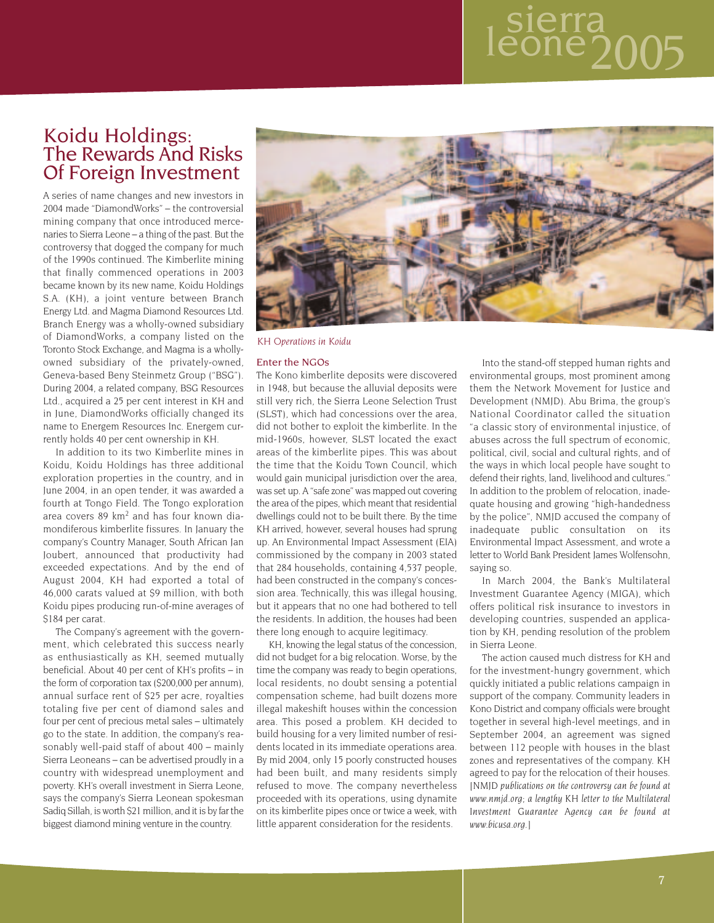# sierra<br>eone200

### Koidu Holdings: The Rewards And Risks Of Foreign Investment

A series of name changes and new investors in 2004 made "DiamondWorks" – the controversial mining company that once introduced mercenaries to Sierra Leone – a thing of the past. But the controversy that dogged the company for much of the 1990s continued. The Kimberlite mining that finally commenced operations in 2003 became known by its new name, Koidu Holdings S.A. (KH), a joint venture between Branch Energy Ltd. and Magma Diamond Resources Ltd. Branch Energy was a wholly-owned subsidiary of DiamondWorks, a company listed on the Toronto Stock Exchange, and Magma is a whollyowned subsidiary of the privately-owned, Geneva-based Beny Steinmetz Group ("BSG"). During 2004, a related company, BSG Resources Ltd., acquired a 25 per cent interest in KH and in June, DiamondWorks officially changed its name to Energem Resources Inc. Energem currently holds 40 per cent ownership in KH.

In addition to its two Kimberlite mines in Koidu, Koidu Holdings has three additional exploration properties in the country, and in June 2004, in an open tender, it was awarded a fourth at Tongo Field. The Tongo exploration area covers 89 km<sup>2</sup> and has four known diamondiferous kimberlite fissures. In January the company's Country Manager, South African Jan Joubert, announced that productivity had exceeded expectations. And by the end of August 2004, KH had exported a total of 46,000 carats valued at \$9 million, with both Koidu pipes producing run-of-mine averages of \$184 per carat.

The Company's agreement with the government, which celebrated this success nearly as enthusiastically as KH, seemed mutually beneficial. About 40 per cent of KH's profits – in the form of corporation tax (\$200,000 per annum), annual surface rent of \$25 per acre, royalties totaling five per cent of diamond sales and four per cent of precious metal sales – ultimately go to the state. In addition, the company's reasonably well-paid staff of about 400 – mainly Sierra Leoneans – can be advertised proudly in a country with widespread unemployment and poverty. KH's overall investment in Sierra Leone, says the company's Sierra Leonean spokesman Sadiq Sillah, is worth \$21 million, and it is by far the biggest diamond mining venture in the country.



*KH Operations in Koidu*

#### Enter the NGOs

The Kono kimberlite deposits were discovered in 1948, but because the alluvial deposits were still very rich, the Sierra Leone Selection Trust (SLST), which had concessions over the area, did not bother to exploit the kimberlite. In the mid-1960s, however, SLST located the exact areas of the kimberlite pipes. This was about the time that the Koidu Town Council, which would gain municipal jurisdiction over the area, was set up. A "safe zone" was mapped out covering the area of the pipes, which meant that residential dwellings could not to be built there. By the time KH arrived, however, several houses had sprung up. An Environmental Impact Assessment (EIA) commissioned by the company in 2003 stated that 284 households, containing 4,537 people, had been constructed in the company's concession area. Technically, this was illegal housing, but it appears that no one had bothered to tell the residents. In addition, the houses had been there long enough to acquire legitimacy.

KH, knowing the legal status of the concession, did not budget for a big relocation. Worse, by the time the company was ready to begin operations, local residents, no doubt sensing a potential compensation scheme, had built dozens more illegal makeshift houses within the concession area. This posed a problem. KH decided to build housing for a very limited number of residents located in its immediate operations area. By mid 2004, only 15 poorly constructed houses had been built, and many residents simply refused to move. The company nevertheless proceeded with its operations, using dynamite on its kimberlite pipes once or twice a week, with little apparent consideration for the residents.

Into the stand-off stepped human rights and environmental groups, most prominent among them the Network Movement for Justice and Development (NMJD). Abu Brima, the group's National Coordinator called the situation "a classic story of environmental injustice, of abuses across the full spectrum of economic, political, civil, social and cultural rights, and of the ways in which local people have sought to defend their rights, land, livelihood and cultures." In addition to the problem of relocation, inadequate housing and growing "high-handedness by the police", NMJD accused the company of inadequate public consultation on its Environmental Impact Assessment, and wrote a letter to World Bank President James Wolfensohn, saying so.

In March 2004, the Bank's Multilateral Investment Guarantee Agency (MIGA), which offers political risk insurance to investors in developing countries, suspended an application by KH, pending resolution of the problem in Sierra Leone.

The action caused much distress for KH and for the investment-hungry government, which quickly initiated a public relations campaign in support of the company. Community leaders in Kono District and company officials were brought together in several high-level meetings, and in September 2004, an agreement was signed between 112 people with houses in the blast zones and representatives of the company. KH agreed to pay for the relocation of their houses. *[NMJD publications on the controversy can be found at www.nmjd.org; a lengthy KH letter to the Multilateral Investment Guarantee Agency can be found at www.bicusa.org.]*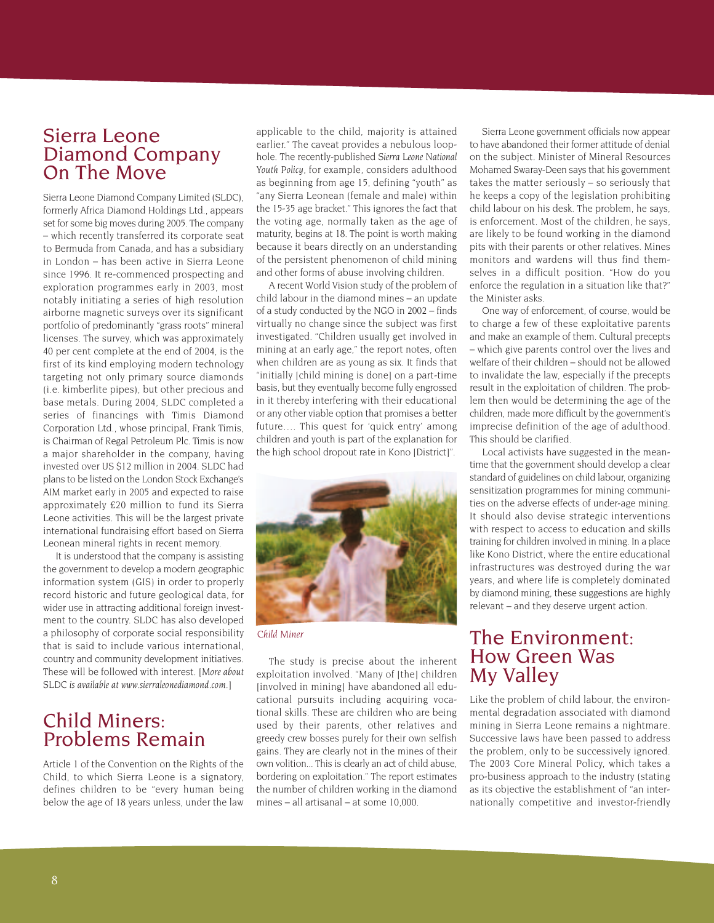### Sierra Leone Diamond Company On The Move

Sierra Leone Diamond Company Limited (SLDC), formerly Africa Diamond Holdings Ltd., appears set for some big moves during 2005. The company – which recently transferred its corporate seat to Bermuda from Canada, and has a subsidiary in London – has been active in Sierra Leone since 1996. It re-commenced prospecting and exploration programmes early in 2003, most notably initiating a series of high resolution airborne magnetic surveys over its significant portfolio of predominantly "grass roots" mineral licenses. The survey, which was approximately 40 per cent complete at the end of 2004, is the first of its kind employing modern technology targeting not only primary source diamonds (i.e. kimberlite pipes), but other precious and base metals. During 2004, SLDC completed a series of financings with Timis Diamond Corporation Ltd., whose principal, Frank Timis, is Chairman of Regal Petroleum Plc. Timis is now a major shareholder in the company, having invested over US \$12 million in 2004. SLDC had plans to be listed on the London Stock Exchange's AIM market early in 2005 and expected to raise approximately £20 million to fund its Sierra Leone activities. This will be the largest private international fundraising effort based on Sierra Leonean mineral rights in recent memory.

It is understood that the company is assisting the government to develop a modern geographic information system (GIS) in order to properly record historic and future geological data, for wider use in attracting additional foreign investment to the country. SLDC has also developed a philosophy of corporate social responsibility that is said to include various international, country and community development initiatives. These will be followed with interest. *[More about SLDC is available at www.sierraleonediamond.com.]*

### Child Miners: Problems Remain

Article 1 of the Convention on the Rights of the Child, to which Sierra Leone is a signatory, defines children to be "every human being below the age of 18 years unless, under the law applicable to the child, majority is attained earlier." The caveat provides a nebulous loophole. The recently-published *Sierra Leone National Youth Policy*, for example, considers adulthood as beginning from age 15, defining "youth" as "any Sierra Leonean (female and male) within the 15-35 age bracket." This ignores the fact that the voting age, normally taken as the age of maturity, begins at 18. The point is worth making because it bears directly on an understanding of the persistent phenomenon of child mining and other forms of abuse involving children.

A recent World Vision study of the problem of child labour in the diamond mines – an update of a study conducted by the NGO in 2002 – finds virtually no change since the subject was first investigated. "Children usually get involved in mining at an early age," the report notes, often when children are as young as six. It finds that "initially [child mining is done] on a part-time basis, but they eventually become fully engrossed in it thereby interfering with their educational or any other viable option that promises a better future…. This quest for 'quick entry' among children and youth is part of the explanation for the high school dropout rate in Kono [District]".



*Child Miner*

The study is precise about the inherent exploitation involved. "Many of [the] children [involved in mining] have abandoned all educational pursuits including acquiring vocational skills. These are children who are being used by their parents, other relatives and greedy crew bosses purely for their own selfish gains. They are clearly not in the mines of their own volition... This is clearly an act of child abuse, bordering on exploitation." The report estimates the number of children working in the diamond mines – all artisanal – at some 10,000.

Sierra Leone government officials now appear to have abandoned their former attitude of denial on the subject. Minister of Mineral Resources Mohamed Swaray-Deen says that his government takes the matter seriously – so seriously that he keeps a copy of the legislation prohibiting child labour on his desk. The problem, he says, is enforcement. Most of the children, he says, are likely to be found working in the diamond pits with their parents or other relatives. Mines monitors and wardens will thus find themselves in a difficult position. "How do you enforce the regulation in a situation like that?" the Minister asks.

One way of enforcement, of course, would be to charge a few of these exploitative parents and make an example of them. Cultural precepts – which give parents control over the lives and welfare of their children – should not be allowed to invalidate the law, especially if the precepts result in the exploitation of children. The problem then would be determining the age of the children, made more difficult by the government's imprecise definition of the age of adulthood. This should be clarified.

Local activists have suggested in the meantime that the government should develop a clear standard of guidelines on child labour, organizing sensitization programmes for mining communities on the adverse effects of under-age mining. It should also devise strategic interventions with respect to access to education and skills training for children involved in mining. In a place like Kono District, where the entire educational infrastructures was destroyed during the war years, and where life is completely dominated by diamond mining, these suggestions are highly relevant – and they deserve urgent action.

### The Environment: How Green Was My Valley

Like the problem of child labour, the environmental degradation associated with diamond mining in Sierra Leone remains a nightmare. Successive laws have been passed to address the problem, only to be successively ignored. The 2003 Core Mineral Policy, which takes a pro-business approach to the industry (stating as its objective the establishment of "an internationally competitive and investor-friendly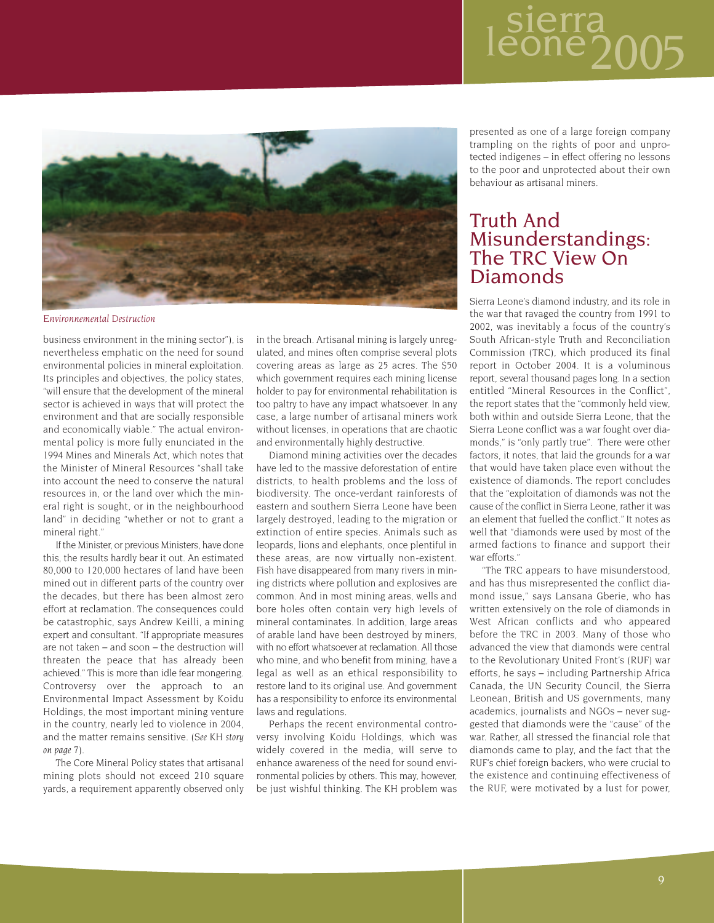# aerra<br>one20



*Environnemental Destruction*

business environment in the mining sector"), is nevertheless emphatic on the need for sound environmental policies in mineral exploitation. Its principles and objectives, the policy states, "will ensure that the development of the mineral sector is achieved in ways that will protect the environment and that are socially responsible and economically viable." The actual environmental policy is more fully enunciated in the 1994 Mines and Minerals Act, which notes that the Minister of Mineral Resources "shall take into account the need to conserve the natural resources in, or the land over which the mineral right is sought, or in the neighbourhood land" in deciding "whether or not to grant a mineral right."

If the Minister, or previous Ministers, have done this, the results hardly bear it out. An estimated 80,000 to 120,000 hectares of land have been mined out in different parts of the country over the decades, but there has been almost zero effort at reclamation. The consequences could be catastrophic, says Andrew Keilli, a mining expert and consultant. "If appropriate measures are not taken – and soon – the destruction will threaten the peace that has already been achieved." This is more than idle fear mongering. Controversy over the approach to an Environmental Impact Assessment by Koidu Holdings, the most important mining venture in the country, nearly led to violence in 2004, and the matter remains sensitive. (*See KH story on page 7*).

The Core Mineral Policy states that artisanal mining plots should not exceed 210 square yards, a requirement apparently observed only in the breach. Artisanal mining is largely unregulated, and mines often comprise several plots covering areas as large as 25 acres. The \$50 which government requires each mining license holder to pay for environmental rehabilitation is too paltry to have any impact whatsoever. In any case, a large number of artisanal miners work without licenses, in operations that are chaotic and environmentally highly destructive.

Diamond mining activities over the decades have led to the massive deforestation of entire districts, to health problems and the loss of biodiversity. The once-verdant rainforests of eastern and southern Sierra Leone have been largely destroyed, leading to the migration or extinction of entire species. Animals such as leopards, lions and elephants, once plentiful in these areas, are now virtually non-existent. Fish have disappeared from many rivers in mining districts where pollution and explosives are common. And in most mining areas, wells and bore holes often contain very high levels of mineral contaminates. In addition, large areas of arable land have been destroyed by miners, with no effort whatsoever at reclamation. All those who mine, and who benefit from mining, have a legal as well as an ethical responsibility to restore land to its original use. And government has a responsibility to enforce its environmental laws and regulations.

Perhaps the recent environmental controversy involving Koidu Holdings, which was widely covered in the media, will serve to enhance awareness of the need for sound environmental policies by others. This may, however, be just wishful thinking. The KH problem was

presented as one of a large foreign company trampling on the rights of poor and unprotected indigenes – in effect offering no lessons to the poor and unprotected about their own behaviour as artisanal miners.

### Truth And Misunderstandings: The TRC View On **Diamonds**

Sierra Leone's diamond industry, and its role in the war that ravaged the country from 1991 to 2002, was inevitably a focus of the country's South African-style Truth and Reconciliation Commission (TRC), which produced its final report in October 2004. It is a voluminous report, several thousand pages long. In a section entitled "Mineral Resources in the Conflict", the report states that the "commonly held view, both within and outside Sierra Leone, that the Sierra Leone conflict was a war fought over diamonds," is "only partly true". There were other factors, it notes, that laid the grounds for a war that would have taken place even without the existence of diamonds. The report concludes that the "exploitation of diamonds was not the cause of the conflict in Sierra Leone, rather it was an element that fuelled the conflict." It notes as well that "diamonds were used by most of the armed factions to finance and support their war efforts."

"The TRC appears to have misunderstood, and has thus misrepresented the conflict diamond issue," says Lansana Gberie, who has written extensively on the role of diamonds in West African conflicts and who appeared before the TRC in 2003. Many of those who advanced the view that diamonds were central to the Revolutionary United Front's (RUF) war efforts, he says – including Partnership Africa Canada, the UN Security Council, the Sierra Leonean, British and US governments, many academics, journalists and NGOs – never suggested that diamonds were the "cause" of the war. Rather, all stressed the financial role that diamonds came to play, and the fact that the RUF's chief foreign backers, who were crucial to the existence and continuing effectiveness of the RUF, were motivated by a lust for power,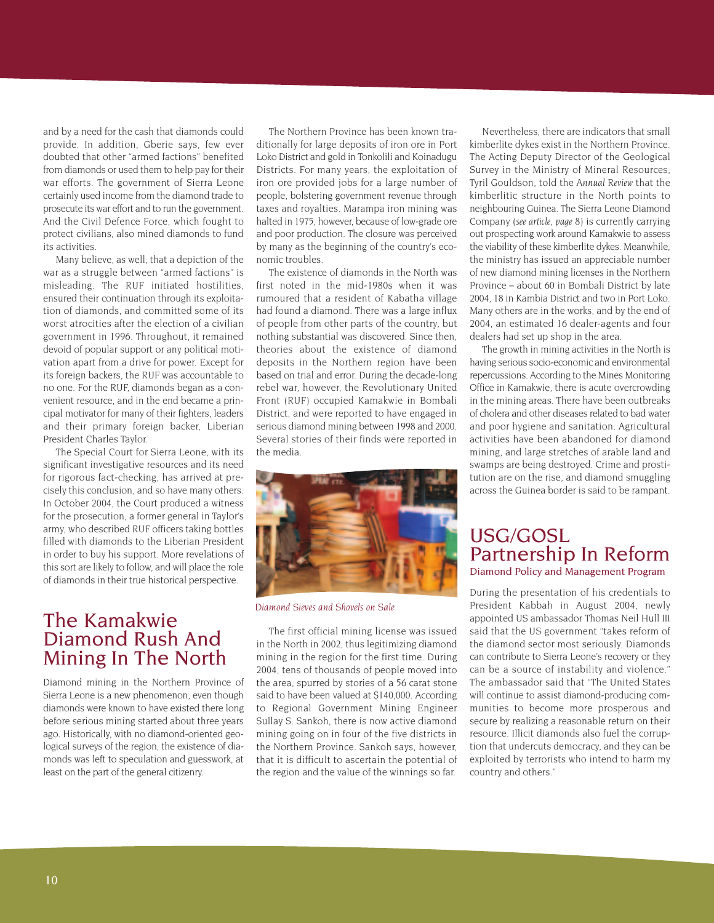and by a need for the cash that diamonds could provide. In addition, Gberie says, few ever doubted that other "armed factions" benefited from diamonds or used them to help pay for their war efforts. The government of Sierra Leone certainly used income from the diamond trade to prosecute its war effort and to run the government. And the Civil Defence Force, which fought to protect civilians, also mined diamonds to fund its activities.

Many believe, as well, that a depiction of the war as a struggle between "armed factions" is misleading. The RUF initiated hostilities, ensured their continuation through its exploitation of diamonds, and committed some of its worst atrocities after the election of a civilian government in 1996. Throughout, it remained devoid of popular support or any political motivation apart from a drive for power. Except for its foreign backers, the RUF was accountable to no one. For the RUF, diamonds began as a convenient resource, and in the end became a principal motivator for many of their fighters, leaders and their primary foreign backer, Liberian President Charles Taylor.

The Special Court for Sierra Leone, with its significant investigative resources and its need for rigorous fact-checking, has arrived at precisely this conclusion, and so have many others. In October 2004, the Court produced a witness for the prosecution, a former general in Taylor's army, who described RUF officers taking bottles filled with diamonds to the Liberian President in order to buy his support. More revelations of this sort are likely to follow, and will place the role of diamonds in their true historical perspective.

### The Kamakwie Diamond Rush And Mining In The North

Diamond mining in the Northern Province of Sierra Leone is a new phenomenon, even though diamonds were known to have existed there long before serious mining started about three years ago. Historically, with no diamond-oriented geological surveys of the region, the existence of diamonds was left to speculation and guesswork, at least on the part of the general citizenry.

The Northern Province has been known traditionally for large deposits of iron ore in Port Loko District and gold in Tonkolili and Koinadugu Districts. For many years, the exploitation of iron ore provided jobs for a large number of people, bolstering government revenue through taxes and royalties. Marampa iron mining was halted in 1975, however, because of low-grade ore and poor production. The closure was perceived by many as the beginning of the country's economic troubles.

The existence of diamonds in the North was first noted in the mid-1980s when it was rumoured that a resident of Kabatha village had found a diamond. There was a large influx of people from other parts of the country, but nothing substantial was discovered. Since then, theories about the existence of diamond deposits in the Northern region have been based on trial and error. During the decade-long rebel war, however, the Revolutionary United Front (RUF) occupied Kamakwie in Bombali District, and were reported to have engaged in serious diamond mining between 1998 and 2000. Several stories of their finds were reported in the media.



*Diamond Sieves and Shovels on Sale*

The first official mining license was issued in the North in 2002, thus legitimizing diamond mining in the region for the first time. During 2004, tens of thousands of people moved into the area, spurred by stories of a 56 carat stone said to have been valued at \$140,000. According to Regional Government Mining Engineer Sullay S. Sankoh, there is now active diamond mining going on in four of the five districts in the Northern Province. Sankoh says, however, that it is difficult to ascertain the potential of the region and the value of the winnings so far.

Nevertheless, there are indicators that small kimberlite dykes exist in the Northern Province. The Acting Deputy Director of the Geological Survey in the Ministry of Mineral Resources, Tyril Gouldson, told the *Annual Review* that the kimberlitic structure in the North points to neighbouring Guinea. The Sierra Leone Diamond Company (*see article, page 8*) is currently carrying out prospecting work around Kamakwie to assess the viability of these kimberlite dykes. Meanwhile, the ministry has issued an appreciable number of new diamond mining licenses in the Northern Province – about 60 in Bombali District by late 2004, 18 in Kambia District and two in Port Loko. Many others are in the works, and by the end of 2004, an estimated 16 dealer-agents and four dealers had set up shop in the area.

The growth in mining activities in the North is having serious socio-economic and environmental repercussions. According to the Mines Monitoring Office in Kamakwie, there is acute overcrowding in the mining areas. There have been outbreaks of cholera and other diseases related to bad water and poor hygiene and sanitation. Agricultural activities have been abandoned for diamond mining, and large stretches of arable land and swamps are being destroyed. Crime and prostitution are on the rise, and diamond smuggling across the Guinea border is said to be rampant.

### USG/GOSL Partnership In Reform Diamond Policy and Management Program

During the presentation of his credentials to President Kabbah in August 2004, newly appointed US ambassador Thomas Neil Hull III said that the US government "takes reform of the diamond sector most seriously. Diamonds can contribute to Sierra Leone's recovery or they can be a source of instability and violence." The ambassador said that "The United States will continue to assist diamond-producing communities to become more prosperous and secure by realizing a reasonable return on their resource. Illicit diamonds also fuel the corruption that undercuts democracy, and they can be exploited by terrorists who intend to harm my country and others."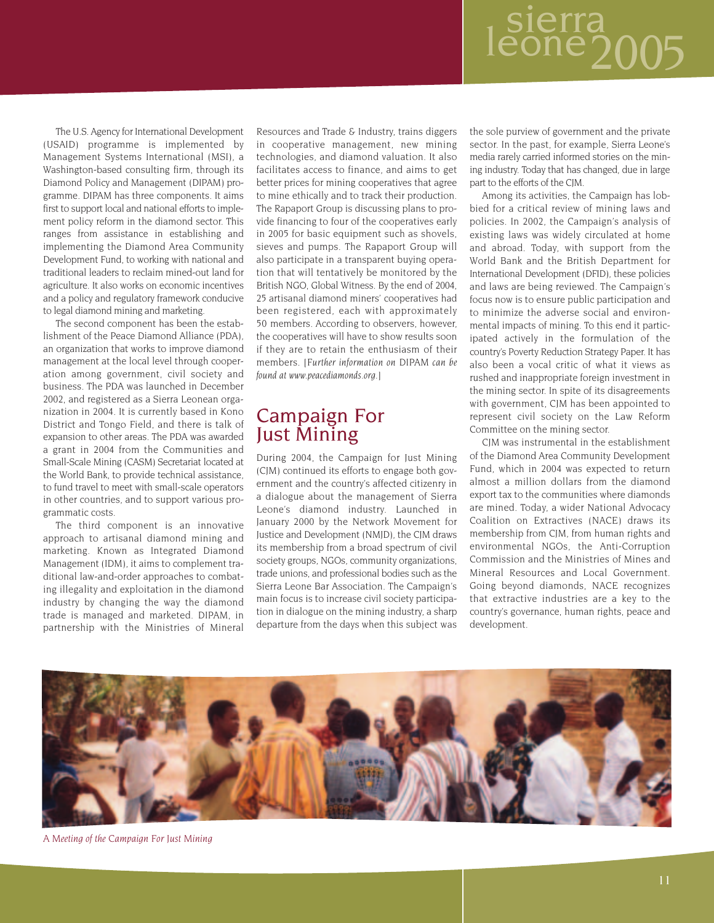# sierra<br>eone200

The U.S. Agency for International Development (USAID) programme is implemented by Management Systems International (MSI), a Washington-based consulting firm, through its Diamond Policy and Management (DIPAM) programme. DIPAM has three components. It aims first to support local and national efforts to implement policy reform in the diamond sector. This ranges from assistance in establishing and implementing the Diamond Area Community Development Fund, to working with national and traditional leaders to reclaim mined-out land for agriculture. It also works on economic incentives and a policy and regulatory framework conducive to legal diamond mining and marketing.

The second component has been the establishment of the Peace Diamond Alliance (PDA), an organization that works to improve diamond management at the local level through cooperation among government, civil society and business. The PDA was launched in December 2002, and registered as a Sierra Leonean organization in 2004. It is currently based in Kono District and Tongo Field, and there is talk of expansion to other areas. The PDA was awarded a grant in 2004 from the Communities and Small-Scale Mining (CASM) Secretariat located at the World Bank, to provide technical assistance, to fund travel to meet with small-scale operators in other countries, and to support various programmatic costs.

The third component is an innovative approach to artisanal diamond mining and marketing. Known as Integrated Diamond Management (IDM), it aims to complement traditional law-and-order approaches to combating illegality and exploitation in the diamond industry by changing the way the diamond trade is managed and marketed. DIPAM, in partnership with the Ministries of Mineral Resources and Trade & Industry, trains diggers in cooperative management, new mining technologies, and diamond valuation. It also facilitates access to finance, and aims to get better prices for mining cooperatives that agree to mine ethically and to track their production. The Rapaport Group is discussing plans to provide financing to four of the cooperatives early in 2005 for basic equipment such as shovels, sieves and pumps. The Rapaport Group will also participate in a transparent buying operation that will tentatively be monitored by the British NGO, Global Witness. By the end of 2004, 25 artisanal diamond miners' cooperatives had been registered, each with approximately 50 members. According to observers, however, the cooperatives will have to show results soon if they are to retain the enthusiasm of their members. [*Further information on DIPAM can be found at www.peacediamonds.org.*]

### Campaign For Just Mining

During 2004, the Campaign for Just Mining (CJM) continued its efforts to engage both government and the country's affected citizenry in a dialogue about the management of Sierra Leone's diamond industry. Launched in January 2000 by the Network Movement for Justice and Development (NMJD), the CJM draws its membership from a broad spectrum of civil society groups, NGOs, community organizations, trade unions, and professional bodies such as the Sierra Leone Bar Association. The Campaign's main focus is to increase civil society participation in dialogue on the mining industry, a sharp departure from the days when this subject was the sole purview of government and the private sector. In the past, for example, Sierra Leone's media rarely carried informed stories on the mining industry. Today that has changed, due in large part to the efforts of the CJM.

Among its activities, the Campaign has lobbied for a critical review of mining laws and policies. In 2002, the Campaign's analysis of existing laws was widely circulated at home and abroad. Today, with support from the World Bank and the British Department for International Development (DFID), these policies and laws are being reviewed. The Campaign's focus now is to ensure public participation and to minimize the adverse social and environmental impacts of mining. To this end it participated actively in the formulation of the country's Poverty Reduction Strategy Paper. It has also been a vocal critic of what it views as rushed and inappropriate foreign investment in the mining sector. In spite of its disagreements with government, CJM has been appointed to represent civil society on the Law Reform Committee on the mining sector.

CJM was instrumental in the establishment of the Diamond Area Community Development Fund, which in 2004 was expected to return almost a million dollars from the diamond export tax to the communities where diamonds are mined. Today, a wider National Advocacy Coalition on Extractives (NACE) draws its membership from CJM, from human rights and environmental NGOs, the Anti-Corruption Commission and the Ministries of Mines and Mineral Resources and Local Government. Going beyond diamonds, NACE recognizes that extractive industries are a key to the country's governance, human rights, peace and development.



*A Meeting of the Campaign For Just Mining*